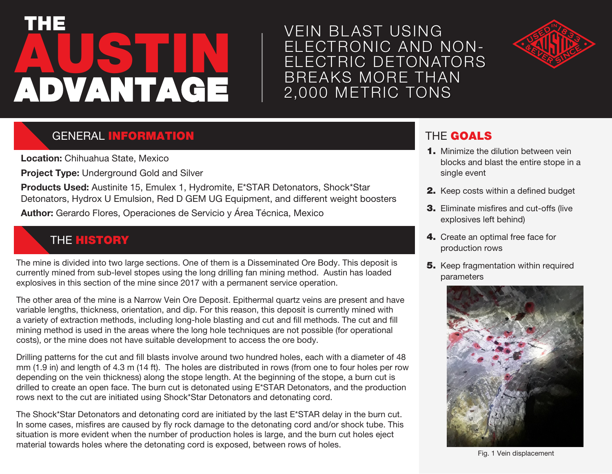# **AUSTIN** THE ADVANTAGE

VEIN BL AST USING ELECTRONIC AND NON-ELECTRIC DETONATORS BREAKS MORE THAN 2,000 METRIC TONS



## **GENERAL INFORMATION**

**Location:** Chihuahua State, Mexico

**Project Type:** Underground Gold and Silver

**Products Used:** Austinite 15, Emulex 1, Hydromite, E\*STAR Detonators, Shock\*Star Detonators, Hydrox U Emulsion, Red D GEM UG Equipment, and different weight boosters

**Author:** Gerardo Flores, Operaciones de Servicio y Área Técnica, Mexico

## **THE HISTORY**

The mine is divided into two large sections. One of them is a Disseminated Ore Body. This deposit is currently mined from sub-level stopes using the long drilling fan mining method. Austin has loaded explosives in this section of the mine since 2017 with a permanent service operation.

The other area of the mine is a Narrow Vein Ore Deposit. Epithermal quartz veins are present and have variable lengths, thickness, orientation, and dip. For this reason, this deposit is currently mined with a variety of extraction methods, including long-hole blasting and cut and fill methods. The cut and fill mining method is used in the areas where the long hole techniques are not possible (for operational costs), or the mine does not have suitable development to access the ore body.

Drilling patterns for the cut and fill blasts involve around two hundred holes, each with a diameter of 48 mm (1.9 in) and length of 4.3 m (14 ft). The holes are distributed in rows (from one to four holes per row depending on the vein thickness) along the stope length. At the beginning of the stope, a burn cut is drilled to create an open face. The burn cut is detonated using E\*STAR Detonators, and the production rows next to the cut are initiated using Shock\*Star Detonators and detonating cord.

The Shock\*Star Detonators and detonating cord are initiated by the last E\*STAR delay in the burn cut. In some cases, misfires are caused by fly rock damage to the detonating cord and/or shock tube. This situation is more evident when the number of production holes is large, and the burn cut holes eject material towards holes where the detonating cord is exposed, between rows of holes.

### THE GOALS

- **1.** Minimize the dilution between vein blocks and blast the entire stope in a single event
- 2. Keep costs within a defined budget
- 3. Eliminate misfires and cut-offs (live explosives left behind)
- 4. Create an optimal free face for production rows
- **5.** Keep fragmentation within required parameters



Fig. 1 Vein displacement